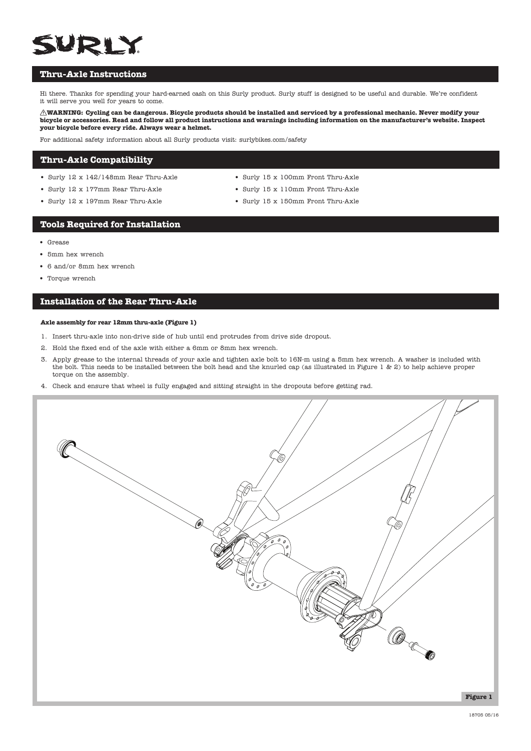# SURLY

# **Thru-Axle Instructions**

Hi there. Thanks for spending your hard-earned cash on this Surly product. Surly stuff is designed to be useful and durable. We're confident it will serve you well for years to come.

**WARNING: Cycling can be dangerous. Bicycle products should be installed and serviced by a professional mechanic. Never modify your bicycle or accessories. Read and follow all product instructions and warnings including information on the manufacturer's website. Inspect your bicycle before every ride. Always wear a helmet.**

For additional safety information about all Surly products visit: surlybikes.com/safety

### **Thru-Axle Compatibility**

- Surly 12 x 142/148mm Rear Thru-Axle
- Surly 12 x 177mm Rear Thru-Axle
- Surly 12 x 197mm Rear Thru-Axle
- Surly 15 x 100mm Front Thru-Axle
- Surly 15 x 110mm Front Thru-Axle
- Surly 15 x 150mm Front Thru-Axle

#### **Tools Required for Installation**

- Grease
- 5mm hex wrench
- 6 and/or 8mm hex wrench
- Torque wrench

# **Installation of the Rear Thru-Axle**

#### **Axle assembly for rear 12mm thru-axle (Figure 1)**

- 1. Insert thru-axle into non-drive side of hub until end protrudes from drive side dropout.
- 2. Hold the fixed end of the axle with either a 6mm or 8mm hex wrench.
- 3. Apply grease to the internal threads of your axle and tighten axle bolt to 16N-m using a 5mm hex wrench. A washer is included with the bolt. This needs to be installed between the bolt head and the knurled cap (as illustrated in Figure 1 & 2) to help achieve proper torque on the assembly.
- 4. Check and ensure that wheel is fully engaged and sitting straight in the dropouts before getting rad.